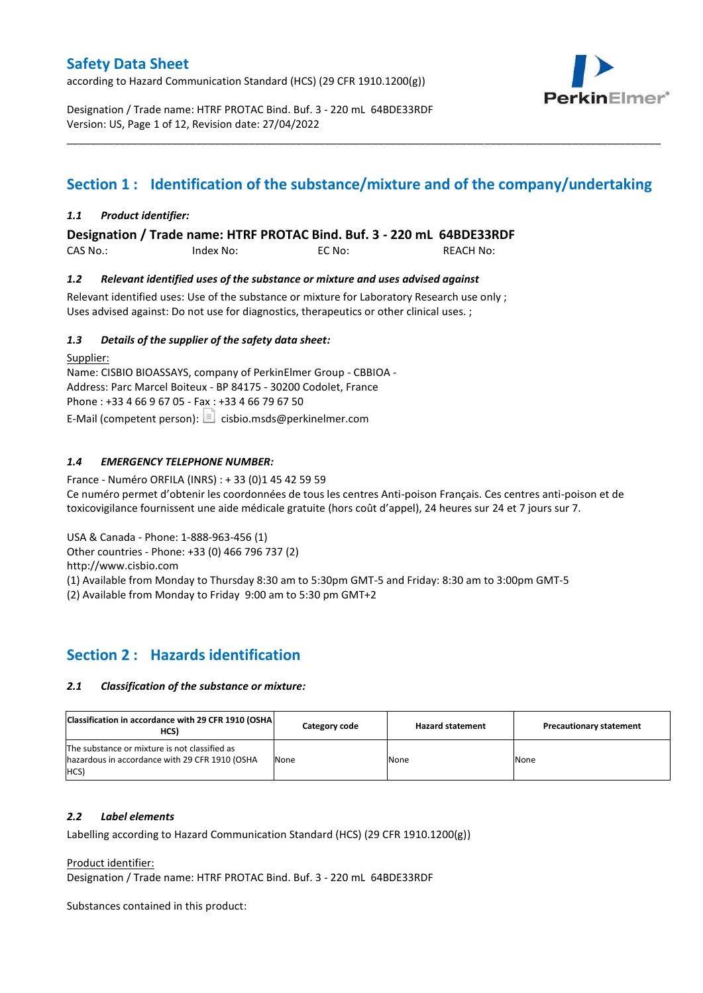according to Hazard Communication Standard (HCS) (29 CFR 1910.1200(g))



Designation / Trade name: HTRF PROTAC Bind. Buf. 3 - 220 mL 64BDE33RDF Version: US, Page 1 of 12, Revision date: 27/04/2022

# **Section 1 : Identification of the substance/mixture and of the company/undertaking**

\_\_\_\_\_\_\_\_\_\_\_\_\_\_\_\_\_\_\_\_\_\_\_\_\_\_\_\_\_\_\_\_\_\_\_\_\_\_\_\_\_\_\_\_\_\_\_\_\_\_\_\_\_\_\_\_\_\_\_\_\_\_\_\_\_\_\_\_\_\_\_\_\_\_\_\_\_\_\_\_\_\_\_\_\_\_\_\_\_\_\_\_\_\_\_\_\_\_\_\_\_

### *1.1 Product identifier:*

**Designation / Trade name: HTRF PROTAC Bind. Buf. 3 - 220 mL 64BDE33RDF** 

| CAS No.: | Index No: | EC No: | <b>REACH No:</b> |
|----------|-----------|--------|------------------|
|          |           |        |                  |

### *1.2 Relevant identified uses of the substance or mixture and uses advised against*

Relevant identified uses: Use of the substance or mixture for Laboratory Research use only ; Uses advised against: Do not use for diagnostics, therapeutics or other clinical uses. ;

### *1.3 Details of the supplier of the safety data sheet:*

Supplier: Name: CISBIO BIOASSAYS, company of PerkinElmer Group - CBBIOA - Address: Parc Marcel Boiteux - BP 84175 - 30200 Codolet, France Phone : +33 4 66 9 67 05 - Fax : +33 4 66 79 67 50 E-Mail (competent person):  $\Box$  cisbio.msds@perkinelmer.com

### *1.4 EMERGENCY TELEPHONE NUMBER:*

France - Numéro ORFILA (INRS) : + 33 (0)1 45 42 59 59 Ce numéro permet d'obtenir les coordonnées de tous les centres Anti-poison Français. Ces centres anti-poison et de toxicovigilance fournissent une aide médicale gratuite (hors coût d'appel), 24 heures sur 24 et 7 jours sur 7.

USA & Canada - Phone: 1-888-963-456 (1)

Other countries - Phone: +33 (0) 466 796 737 (2)

http://www.cisbio.com

(1) Available from Monday to Thursday 8:30 am to 5:30pm GMT-5 and Friday: 8:30 am to 3:00pm GMT-5

(2) Available from Monday to Friday 9:00 am to 5:30 pm GMT+2

## **Section 2 : Hazards identification**

### *2.1 Classification of the substance or mixture:*

| Classification in accordance with 29 CFR 1910 (OSHA)<br>HCS)                                            | Category code | <b>Hazard statement</b> | <b>Precautionary statement</b> |
|---------------------------------------------------------------------------------------------------------|---------------|-------------------------|--------------------------------|
| The substance or mixture is not classified as<br>hazardous in accordance with 29 CFR 1910 (OSHA<br>HCS) | None          | None                    | None                           |

### *2.2 Label elements*

Labelling according to Hazard Communication Standard (HCS) (29 CFR 1910.1200(g))

Product identifier:

Designation / Trade name: HTRF PROTAC Bind. Buf. 3 - 220 mL 64BDE33RDF

Substances contained in this product: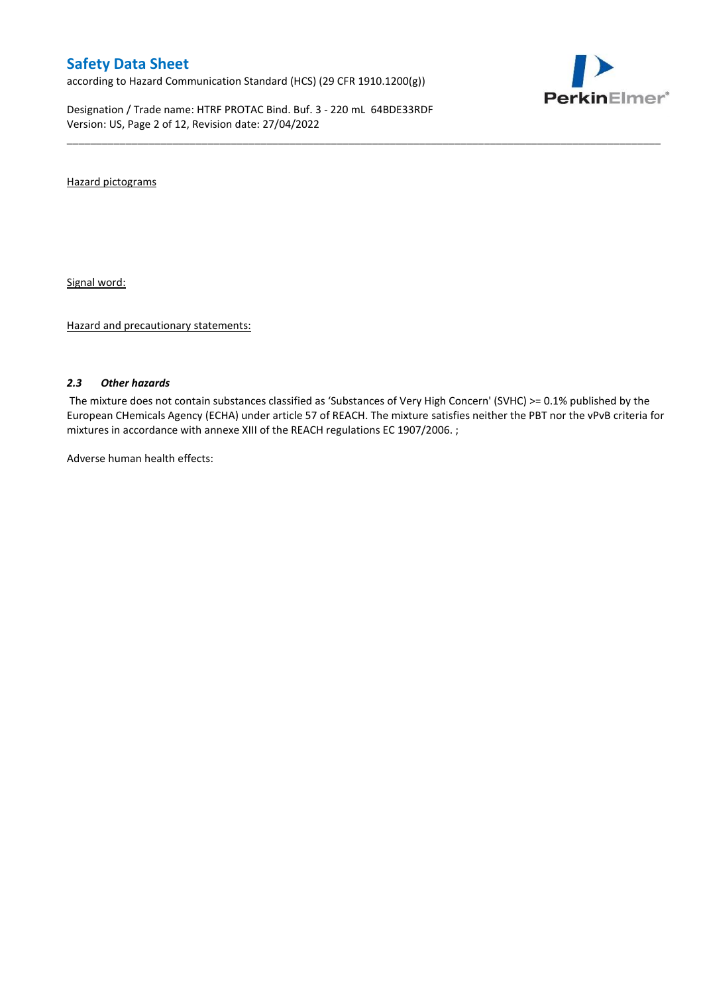according to Hazard Communication Standard (HCS) (29 CFR 1910.1200(g))

Designation / Trade name: HTRF PROTAC Bind. Buf. 3 - 220 mL 64BDE33RDF Version: US, Page 2 of 12, Revision date: 27/04/2022



Hazard pictograms

Signal word:

Hazard and precautionary statements:

### *2.3 Other hazards*

The mixture does not contain substances classified as 'Substances of Very High Concern' (SVHC) >= 0.1% published by the European CHemicals Agency (ECHA) under article 57 of REACH. The mixture satisfies neither the PBT nor the vPvB criteria for mixtures in accordance with annexe XIII of the REACH regulations EC 1907/2006. ;

\_\_\_\_\_\_\_\_\_\_\_\_\_\_\_\_\_\_\_\_\_\_\_\_\_\_\_\_\_\_\_\_\_\_\_\_\_\_\_\_\_\_\_\_\_\_\_\_\_\_\_\_\_\_\_\_\_\_\_\_\_\_\_\_\_\_\_\_\_\_\_\_\_\_\_\_\_\_\_\_\_\_\_\_\_\_\_\_\_\_\_\_\_\_\_\_\_\_\_\_\_

Adverse human health effects: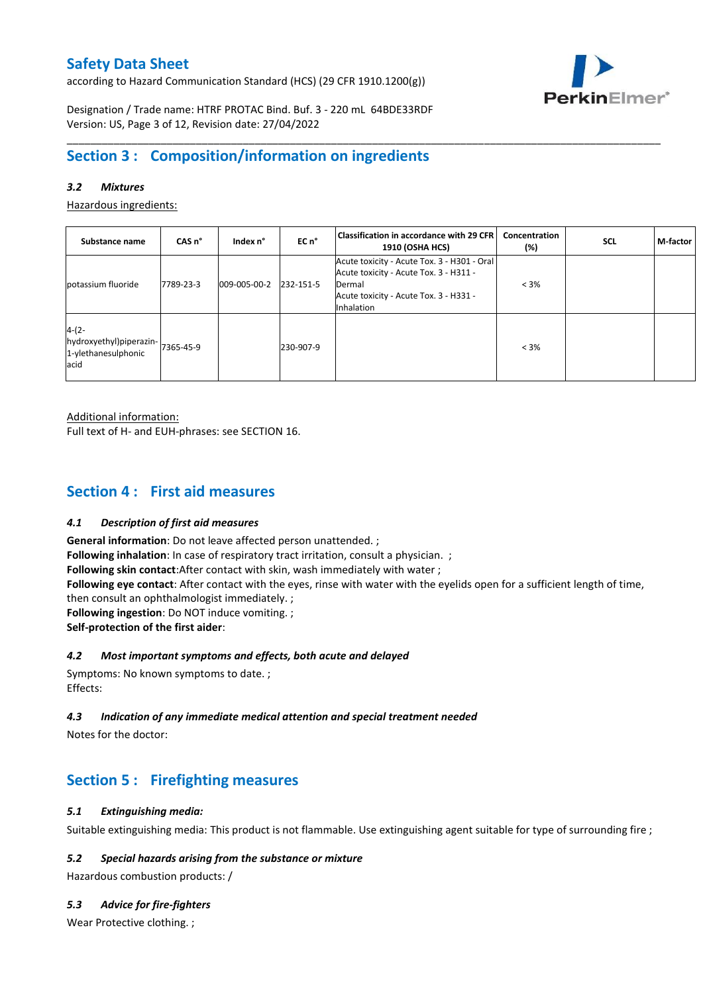according to Hazard Communication Standard (HCS) (29 CFR 1910.1200(g))



Designation / Trade name: HTRF PROTAC Bind. Buf. 3 - 220 mL 64BDE33RDF Version: US, Page 3 of 12, Revision date: 27/04/2022

# **Section 3 : Composition/information on ingredients**

### *3.2 Mixtures*

Hazardous ingredients:

| Substance name                                                               | CAS <sub>n</sub> ° | Index n°     | EC n°     | <b>Classification in accordance with 29 CFR</b><br><b>1910 (OSHA HCS)</b>                                                                               | Concentration<br>$(\%)$ | <b>SCL</b> | M-factor |
|------------------------------------------------------------------------------|--------------------|--------------|-----------|---------------------------------------------------------------------------------------------------------------------------------------------------------|-------------------------|------------|----------|
| potassium fluoride                                                           | 7789-23-3          | 009-005-00-2 | 232-151-5 | Acute toxicity - Acute Tox. 3 - H301 - Oral<br>Acute toxicity - Acute Tox. 3 - H311 -<br>Dermal<br>Acute toxicity - Acute Tox. 3 - H331 -<br>Inhalation | $< 3\%$                 |            |          |
| $4-(2-$<br>hydroxyethyl)piperazin- 7365-45-9<br>1-ylethanesulphonic<br>lacid |                    |              | 230-907-9 |                                                                                                                                                         | $< 3\%$                 |            |          |

\_\_\_\_\_\_\_\_\_\_\_\_\_\_\_\_\_\_\_\_\_\_\_\_\_\_\_\_\_\_\_\_\_\_\_\_\_\_\_\_\_\_\_\_\_\_\_\_\_\_\_\_\_\_\_\_\_\_\_\_\_\_\_\_\_\_\_\_\_\_\_\_\_\_\_\_\_\_\_\_\_\_\_\_\_\_\_\_\_\_\_\_\_\_\_\_\_\_\_\_\_

Additional information:

Full text of H- and EUH-phrases: see SECTION 16.

### **Section 4 : First aid measures**

### *4.1 Description of first aid measures*

**General information**: Do not leave affected person unattended. ;

**Following inhalation**: In case of respiratory tract irritation, consult a physician. ;

**Following skin contact**:After contact with skin, wash immediately with water ;

**Following eye contact**: After contact with the eyes, rinse with water with the eyelids open for a sufficient length of time,

then consult an ophthalmologist immediately. ;

**Following ingestion**: Do NOT induce vomiting. ;

**Self-protection of the first aider**:

### *4.2 Most important symptoms and effects, both acute and delayed*

Symptoms: No known symptoms to date. ; Effects:

### *4.3 Indication of any immediate medical attention and special treatment needed*

Notes for the doctor:

# **Section 5 : Firefighting measures**

### *5.1 Extinguishing media:*

Suitable extinguishing media: This product is not flammable. Use extinguishing agent suitable for type of surrounding fire ;

### *5.2 Special hazards arising from the substance or mixture*

Hazardous combustion products: /

### *5.3 Advice for fire-fighters*

Wear Protective clothing. ;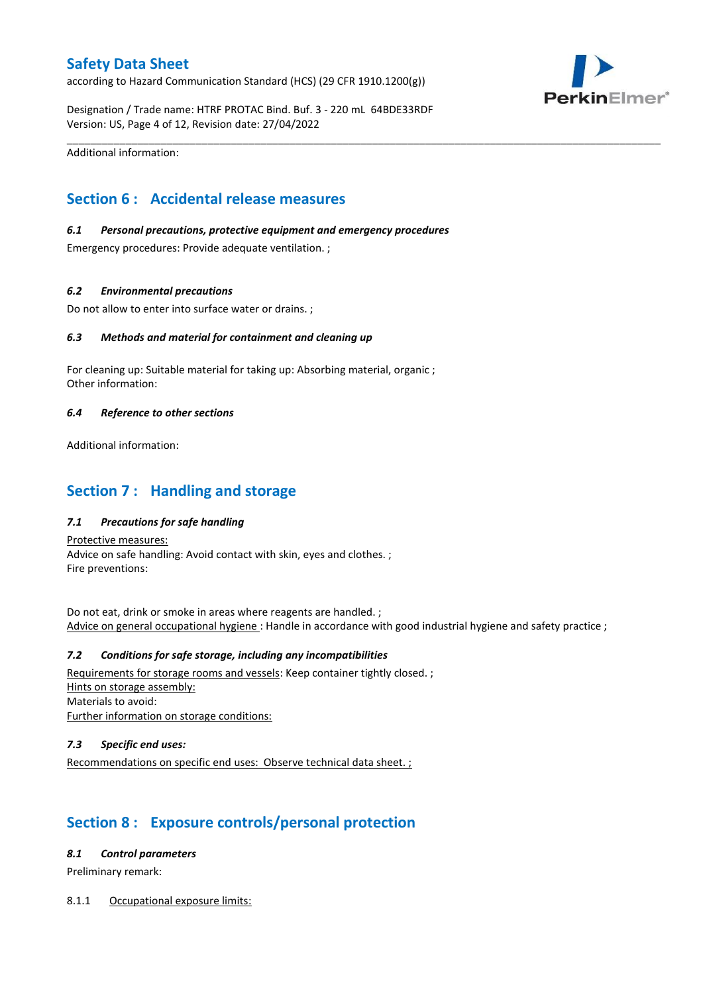according to Hazard Communication Standard (HCS) (29 CFR 1910.1200(g))



Designation / Trade name: HTRF PROTAC Bind. Buf. 3 - 220 mL 64BDE33RDF Version: US, Page 4 of 12, Revision date: 27/04/2022

\_\_\_\_\_\_\_\_\_\_\_\_\_\_\_\_\_\_\_\_\_\_\_\_\_\_\_\_\_\_\_\_\_\_\_\_\_\_\_\_\_\_\_\_\_\_\_\_\_\_\_\_\_\_\_\_\_\_\_\_\_\_\_\_\_\_\_\_\_\_\_\_\_\_\_\_\_\_\_\_\_\_\_\_\_\_\_\_\_\_\_\_\_\_\_\_\_\_\_\_\_

Additional information:

# **Section 6 : Accidental release measures**

### *6.1 Personal precautions, protective equipment and emergency procedures*

Emergency procedures: Provide adequate ventilation. ;

### *6.2 Environmental precautions*

Do not allow to enter into surface water or drains. ;

### *6.3 Methods and material for containment and cleaning up*

For cleaning up: Suitable material for taking up: Absorbing material, organic ; Other information:

### *6.4 Reference to other sections*

Additional information:

# **Section 7 : Handling and storage**

### *7.1 Precautions for safe handling*

Protective measures: Advice on safe handling: Avoid contact with skin, eyes and clothes. ; Fire preventions:

Do not eat, drink or smoke in areas where reagents are handled. ; Advice on general occupational hygiene : Handle in accordance with good industrial hygiene and safety practice ;

### *7.2 Conditions for safe storage, including any incompatibilities*

Requirements for storage rooms and vessels: Keep container tightly closed.; Hints on storage assembly: Materials to avoid: Further information on storage conditions:

### *7.3 Specific end uses:*

Recommendations on specific end uses: Observe technical data sheet. ;

# **Section 8 : Exposure controls/personal protection**

### *8.1 Control parameters*

Preliminary remark:

### 8.1.1 Occupational exposure limits: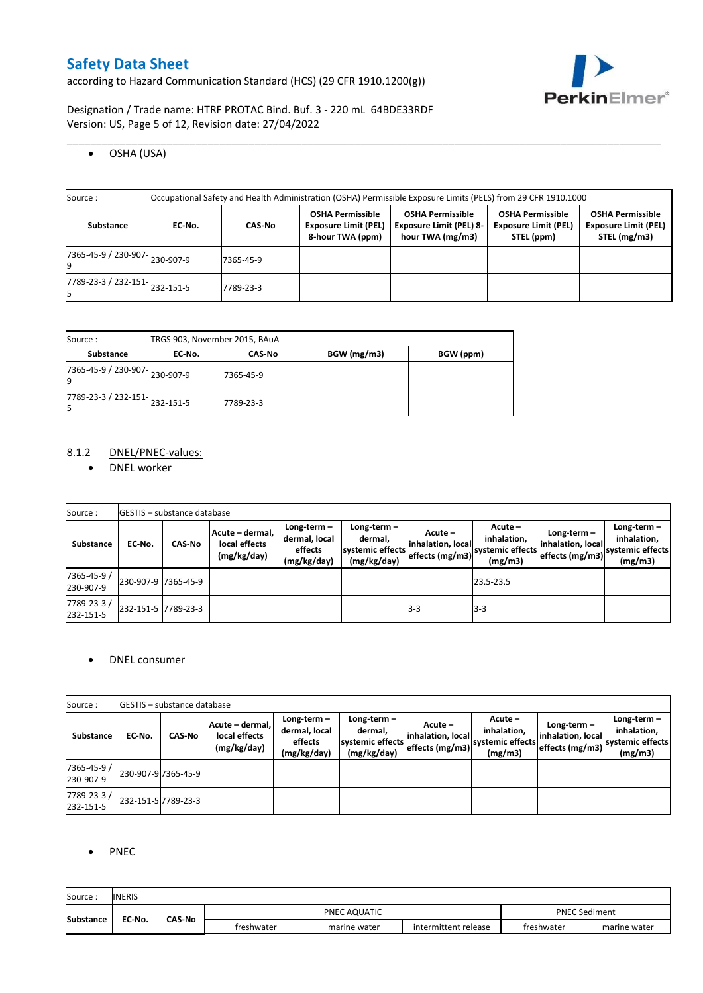according to Hazard Communication Standard (HCS) (29 CFR 1910.1200(g))



Designation / Trade name: HTRF PROTAC Bind. Buf. 3 - 220 mL 64BDE33RDF Version: US, Page 5 of 12, Revision date: 27/04/2022

OSHA (USA)

| Source:                                                         | Occupational Safety and Health Administration (OSHA) Permissible Exposure Limits (PELS) from 29 CFR 1910.1000 |               |                                                                            |                                                                               |                                                                      |                                                                        |  |  |  |  |  |  |
|-----------------------------------------------------------------|---------------------------------------------------------------------------------------------------------------|---------------|----------------------------------------------------------------------------|-------------------------------------------------------------------------------|----------------------------------------------------------------------|------------------------------------------------------------------------|--|--|--|--|--|--|
| Substance                                                       | EC No.                                                                                                        | <b>CAS-No</b> | <b>OSHA Permissible</b><br><b>Exposure Limit (PEL)</b><br>8-hour TWA (ppm) | <b>OSHA Permissible</b><br><b>Exposure Limit (PEL) 8-</b><br>hour TWA (mg/m3) | <b>OSHA Permissible</b><br><b>Exposure Limit (PEL)</b><br>STEL (ppm) | <b>OSHA Permissible</b><br><b>Exposure Limit (PEL)</b><br>STEL (mg/m3) |  |  |  |  |  |  |
| 7365-45-9 / 230-907-230-907-9                                   |                                                                                                               | 7365-45-9     |                                                                            |                                                                               |                                                                      |                                                                        |  |  |  |  |  |  |
| $\overline{17789}$ -23-3 / 232-151- $\big  232 - 151 - 5 \big $ |                                                                                                               | 7789-23-3     |                                                                            |                                                                               |                                                                      |                                                                        |  |  |  |  |  |  |

\_\_\_\_\_\_\_\_\_\_\_\_\_\_\_\_\_\_\_\_\_\_\_\_\_\_\_\_\_\_\_\_\_\_\_\_\_\_\_\_\_\_\_\_\_\_\_\_\_\_\_\_\_\_\_\_\_\_\_\_\_\_\_\_\_\_\_\_\_\_\_\_\_\_\_\_\_\_\_\_\_\_\_\_\_\_\_\_\_\_\_\_\_\_\_\_\_\_\_\_\_

| Source:                             | TRGS 903, November 2015, BAuA |               |             |           |  |  |  |  |  |  |
|-------------------------------------|-------------------------------|---------------|-------------|-----------|--|--|--|--|--|--|
| <b>Substance</b>                    | EC No.                        | <b>CAS-No</b> | BGW (mg/m3) | BGW (ppm) |  |  |  |  |  |  |
| 7365-45-9 / 230-907-230-907-9<br>١q |                               | 7365-45-9     |             |           |  |  |  |  |  |  |
| 7789-23-3 / 232-151-232-151-5<br>l5 |                               | 7789-23-3     |             |           |  |  |  |  |  |  |

### 8.1.2 DNEL/PNEC-values:

• DNEL worker

| Source:                  |                     | <b>GESTIS</b> - substance database |                                                 |                                                          |                                                             |                                                 |                                                         |                                                    |                                                             |
|--------------------------|---------------------|------------------------------------|-------------------------------------------------|----------------------------------------------------------|-------------------------------------------------------------|-------------------------------------------------|---------------------------------------------------------|----------------------------------------------------|-------------------------------------------------------------|
| Substance                | EC No.              | <b>CAS-No</b>                      | Acute – dermal,<br>local effects<br>(mg/kg/day) | Long-term $-$<br>dermal, local<br>effects<br>(mg/kg/day) | $Long-term -$<br>dermal,<br>systemic effects<br>(mg/kg/day) | Acute –<br>inhalation, local<br>effects (mg/m3) | $Acute -$<br>inhalation,<br>systemic effects<br>(mg/m3) | Long-term-<br>inhalation, local<br>effects (mg/m3) | Long-term $-$<br>inhalation,<br>systemic effects<br>(mg/m3) |
| 7365-45-9 /<br>230-907-9 | 230-907-9 7365-45-9 |                                    |                                                 |                                                          |                                                             |                                                 | 23.5-23.5                                               |                                                    |                                                             |
| 7789-23-3/<br>232-151-5  | 232-151-5 7789-23-3 |                                    |                                                 |                                                          |                                                             | $3-3$                                           | $3-3$                                                   |                                                    |                                                             |

### • DNEL consumer

| Source:                  |        | <b>IGESTIS – substance database</b> |                                                 |                                                          |                                                             |                              |                                                                            |                                                     |                                                             |
|--------------------------|--------|-------------------------------------|-------------------------------------------------|----------------------------------------------------------|-------------------------------------------------------------|------------------------------|----------------------------------------------------------------------------|-----------------------------------------------------|-------------------------------------------------------------|
| <b>Substance</b>         | EC-No. | <b>CAS-No</b>                       | Acute - dermal,<br>local effects<br>(mg/kg/day) | $Long-term -$<br>dermal, local<br>effects<br>(mg/kg/day) | Long-term $-$<br>dermal.<br>systemic effects<br>(mg/kg/day) | Acute –<br>inhalation, local | Acute -<br>inhalation,<br>" leffects (mg/m3) systemic effects  <br>(mg/m3) | Long-term –<br>inhalation, local<br>effects (mg/m3) | Long-term $-$<br>inhalation.<br>systemic effects<br>(mg/m3) |
| 7365-45-9 /<br>230-907-9 |        | 230-907-9 7365-45-9                 |                                                 |                                                          |                                                             |                              |                                                                            |                                                     |                                                             |
| 7789-23-3/<br>232-151-5  |        | 232-151-5 7789-23-3                 |                                                 |                                                          |                                                             |                              |                                                                            |                                                     |                                                             |

### • PNEC

| Source           | <b>INERIS</b> |               |            |              |                      |            |                      |
|------------------|---------------|---------------|------------|--------------|----------------------|------------|----------------------|
| <b>Substance</b> | EC-No.        | <b>CAS-No</b> |            | PNEC AQUATIC |                      |            | <b>PNEC Sediment</b> |
|                  |               |               | treshwater | marine water | intermittent release | freshwater | marine water         |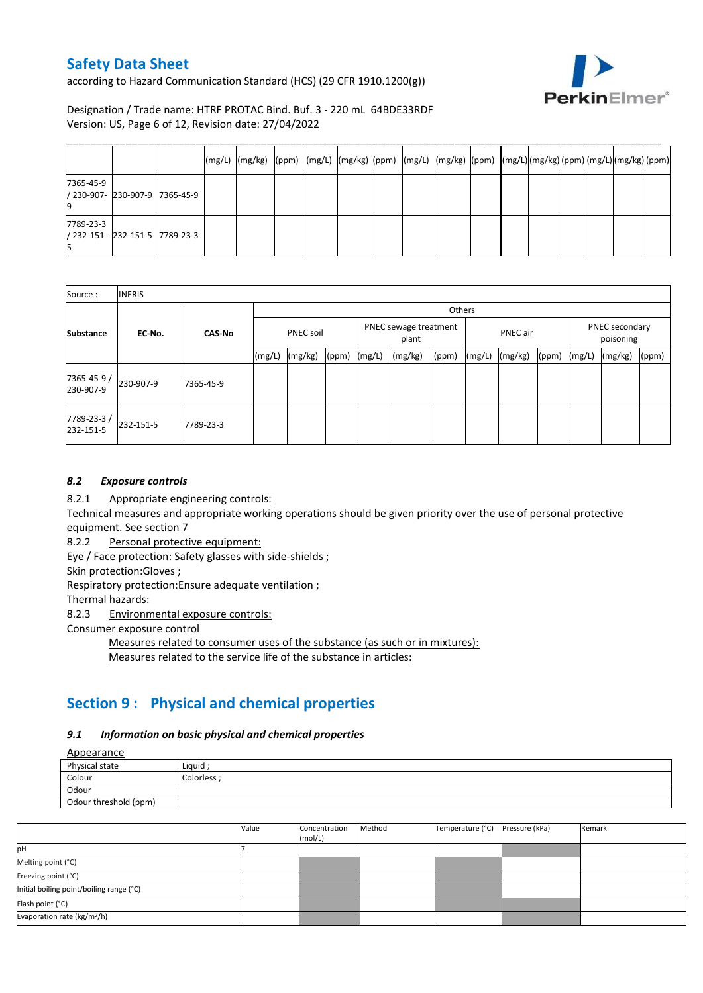according to Hazard Communication Standard (HCS) (29 CFR 1910.1200(g))



Designation / Trade name: HTRF PROTAC Bind. Buf. 3 - 220 mL 64BDE33RDF Version: US, Page 6 of 12, Revision date: 27/04/2022

|           |                                |  | $(mg/L)$ $(mg/kg)$ $(ppm)$ $(mg/L)$ $(mg/kg)$ $(ppm)$ $(mg/L)$ $(mg/kg)$ $(ppm)$ $(mg/L)(mg/kg)(ppm)$ $(mg/L)(mg/L)(mm)$ |  |  |  |  |  |  |  |
|-----------|--------------------------------|--|--------------------------------------------------------------------------------------------------------------------------|--|--|--|--|--|--|--|
| 7365-45-9 | / 230-907- 230-907-9 7365-45-9 |  |                                                                                                                          |  |  |  |  |  |  |  |
| 7789-23-3 | / 232-151- 232-151-5 7789-23-3 |  |                                                                                                                          |  |  |  |  |  |  |  |

| Source:                  | <b>INERIS</b> |               |                  |         |       |                                |         |       |          |         |       |                             |         |       |
|--------------------------|---------------|---------------|------------------|---------|-------|--------------------------------|---------|-------|----------|---------|-------|-----------------------------|---------|-------|
|                          |               |               |                  | Others  |       |                                |         |       |          |         |       |                             |         |       |
| <b>Substance</b>         | EC-No.        | <b>CAS-No</b> | <b>PNEC soil</b> |         |       | PNEC sewage treatment<br>plant |         |       | PNEC air |         |       | PNEC secondary<br>poisoning |         |       |
|                          |               |               | (mg/L)           | (mg/kg) | (ppm) | (mg/L)                         | (mg/kg) | (ppm) | (mg/L)   | (mg/kg) | (ppm) | (mg/L)                      | (mg/kg) | (ppm) |
| 7365-45-9 /<br>230-907-9 | 230-907-9     | 7365-45-9     |                  |         |       |                                |         |       |          |         |       |                             |         |       |
| 7789-23-3/<br>232-151-5  | 232-151-5     | 7789-23-3     |                  |         |       |                                |         |       |          |         |       |                             |         |       |

### *8.2 Exposure controls*

8.2.1 Appropriate engineering controls:

Technical measures and appropriate working operations should be given priority over the use of personal protective equipment. See section 7

8.2.2 Personal protective equipment:

Eye / Face protection: Safety glasses with side-shields ;

Skin protection:Gloves ;

Respiratory protection:Ensure adequate ventilation ;

Thermal hazards:

8.2.3 Environmental exposure controls:

Consumer exposure control

Measures related to consumer uses of the substance (as such or in mixtures):

Measures related to the service life of the substance in articles:

# **Section 9 : Physical and chemical properties**

### *9.1 Information on basic physical and chemical properties*

Appearance

| Appearance            |                  |
|-----------------------|------------------|
| Physical state        | Liguid;          |
| Colour                | <b>Colorless</b> |
| Odour                 |                  |
| Odour threshold (ppm) |                  |

|                                          | Value | Concentration<br>(mol/L) | Method | Temperature (°C) | Pressure (kPa) | Remark |
|------------------------------------------|-------|--------------------------|--------|------------------|----------------|--------|
| pH                                       |       |                          |        |                  |                |        |
| Melting point (°C)                       |       |                          |        |                  |                |        |
| Freezing point (°C)                      |       |                          |        |                  |                |        |
| Initial boiling point/boiling range (°C) |       |                          |        |                  |                |        |
| Flash point (°C)                         |       |                          |        |                  |                |        |
| Evaporation rate ( $kg/m^2/h$ )          |       |                          |        |                  |                |        |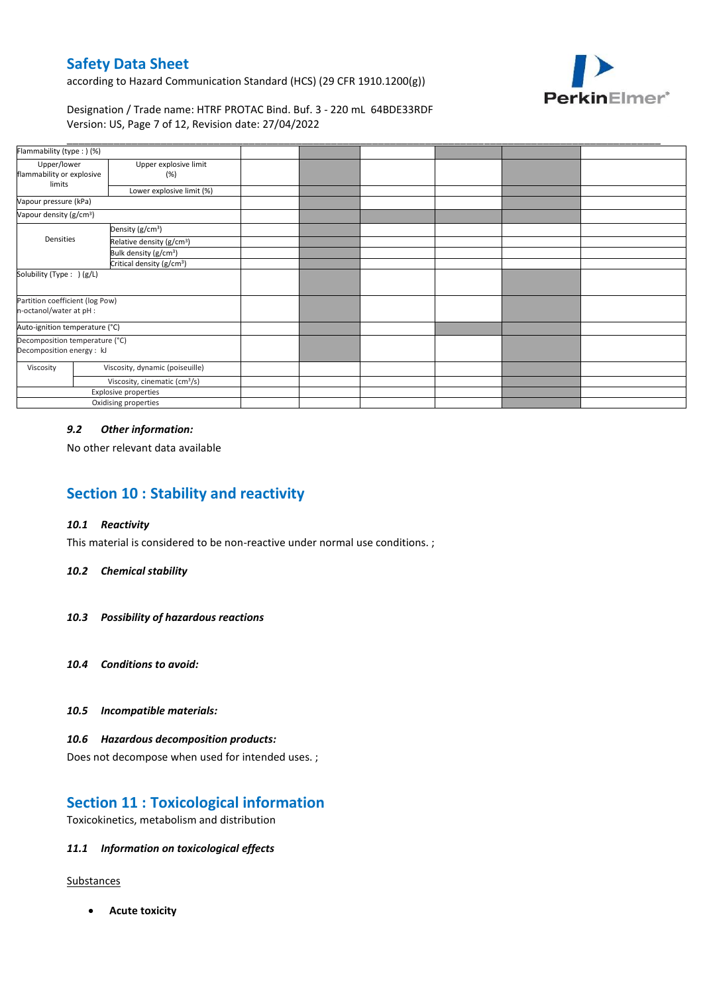according to Hazard Communication Standard (HCS) (29 CFR 1910.1200(g))



### Designation / Trade name: HTRF PROTAC Bind. Buf. 3 - 220 mL 64BDE33RDF Version: US, Page 7 of 12, Revision date: 27/04/2022

| Flammability (type:) (%)                                    |                                           |  |  |  |
|-------------------------------------------------------------|-------------------------------------------|--|--|--|
| Upper/lower<br>flammability or explosive                    | Upper explosive limit<br>(%)              |  |  |  |
| limits                                                      | Lower explosive limit (%)                 |  |  |  |
| Vapour pressure (kPa)                                       |                                           |  |  |  |
| Vapour density (g/cm <sup>3</sup> )                         |                                           |  |  |  |
|                                                             | Density (g/cm <sup>3</sup> )              |  |  |  |
| Densities                                                   | Relative density (g/cm <sup>3</sup> )     |  |  |  |
|                                                             | Bulk density (g/cm <sup>3</sup> )         |  |  |  |
|                                                             | Critical density (g/cm <sup>3</sup> )     |  |  |  |
| Solubility (Type: ) (g/L)                                   |                                           |  |  |  |
| Partition coefficient (log Pow)<br>n-octanol/water at pH :  |                                           |  |  |  |
| Auto-ignition temperature (°C)                              |                                           |  |  |  |
| Decomposition temperature (°C)<br>Decomposition energy : kJ |                                           |  |  |  |
| Viscosity                                                   | Viscosity, dynamic (poiseuille)           |  |  |  |
|                                                             | Viscosity, cinematic (cm <sup>3</sup> /s) |  |  |  |
| Explosive properties                                        |                                           |  |  |  |
| Oxidising properties                                        |                                           |  |  |  |

### *9.2 Other information:*

No other relevant data available

# **Section 10 : Stability and reactivity**

### *10.1 Reactivity*

This material is considered to be non-reactive under normal use conditions. ;

### *10.2 Chemical stability*

- *10.3 Possibility of hazardous reactions*
- *10.4 Conditions to avoid:*
- *10.5 Incompatible materials:*

### *10.6 Hazardous decomposition products:*

Does not decompose when used for intended uses. ;

## **Section 11 : Toxicological information**

Toxicokinetics, metabolism and distribution

### *11.1 Information on toxicological effects*

### **Substances**

**Acute toxicity**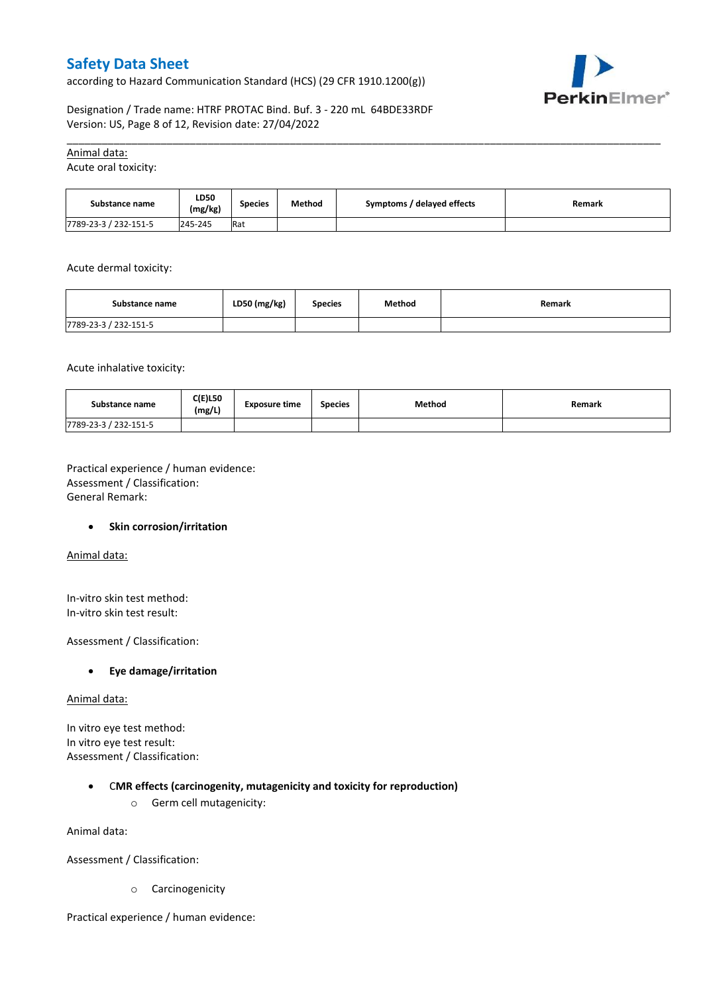according to Hazard Communication Standard (HCS) (29 CFR 1910.1200(g))



Designation / Trade name: HTRF PROTAC Bind. Buf. 3 - 220 mL 64BDE33RDF Version: US, Page 8 of 12, Revision date: 27/04/2022

### Animal data:

Acute oral toxicity:

| Substance name        | LD50<br>(mg/kg) | Species | Method | Symptoms / delayed effects | Remark |
|-----------------------|-----------------|---------|--------|----------------------------|--------|
| 7789-23-3 / 232-151-5 | 245-245         | Rat     |        |                            |        |

\_\_\_\_\_\_\_\_\_\_\_\_\_\_\_\_\_\_\_\_\_\_\_\_\_\_\_\_\_\_\_\_\_\_\_\_\_\_\_\_\_\_\_\_\_\_\_\_\_\_\_\_\_\_\_\_\_\_\_\_\_\_\_\_\_\_\_\_\_\_\_\_\_\_\_\_\_\_\_\_\_\_\_\_\_\_\_\_\_\_\_\_\_\_\_\_\_\_\_\_\_

Acute dermal toxicity:

| Substance name        | LD50 (mg/kg) | <b>Species</b> | Method | Remark |
|-----------------------|--------------|----------------|--------|--------|
| 7789-23-3 / 232-151-5 |              |                |        |        |

Acute inhalative toxicity:

| Substance name        | <b>C(E)L50</b><br>(mg/L) | <b>Exposure time</b> | <b>Species</b> | Method | <b>Remark</b> |
|-----------------------|--------------------------|----------------------|----------------|--------|---------------|
| 7789-23-3 / 232-151-5 |                          |                      |                |        |               |

Practical experience / human evidence: Assessment / Classification: General Remark:

### **•** Skin corrosion/irritation

Animal data:

In-vitro skin test method: In-vitro skin test result:

Assessment / Classification:

### **Eye damage/irritation**

#### Animal data:

In vitro eye test method: In vitro eye test result: Assessment / Classification:

### C**MR effects (carcinogenity, mutagenicity and toxicity for reproduction)**

o Germ cell mutagenicity:

Animal data:

Assessment / Classification:

o Carcinogenicity

Practical experience / human evidence: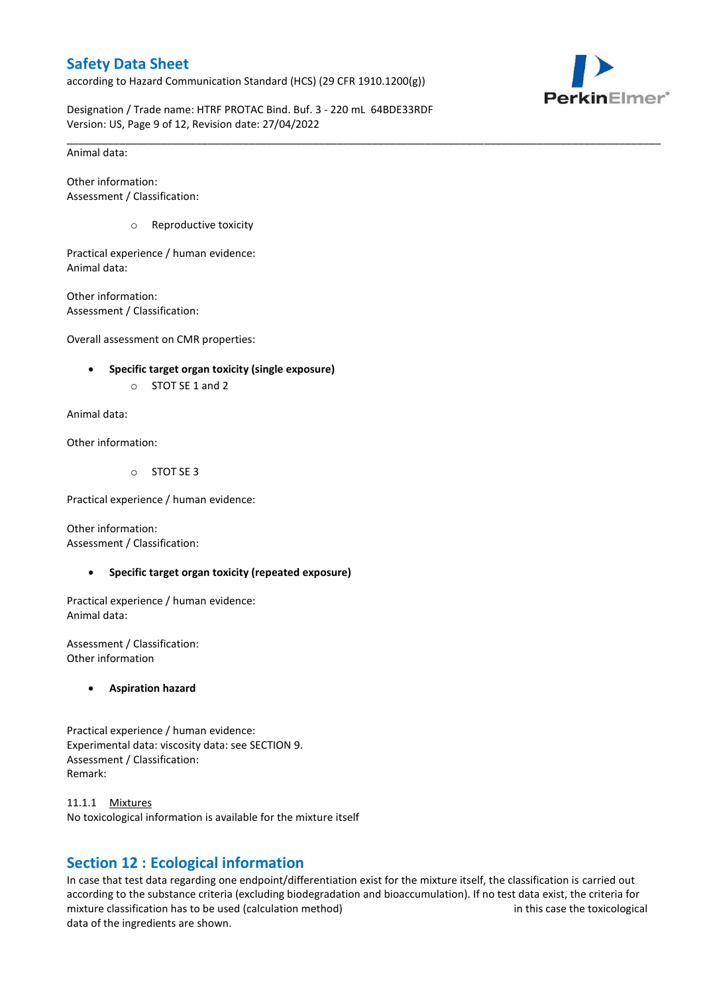according to Hazard Communication Standard (HCS) (29 CFR 1910.1200(g))



Designation / Trade name: HTRF PROTAC Bind. Buf. 3 - 220 mL 64BDE33RDF Version: US, Page 9 of 12, Revision date: 27/04/2022

\_\_\_\_\_\_\_\_\_\_\_\_\_\_\_\_\_\_\_\_\_\_\_\_\_\_\_\_\_\_\_\_\_\_\_\_\_\_\_\_\_\_\_\_\_\_\_\_\_\_\_\_\_\_\_\_\_\_\_\_\_\_\_\_\_\_\_\_\_\_\_\_\_\_\_\_\_\_\_\_\_\_\_\_\_\_\_\_\_\_\_\_\_\_\_\_\_\_\_\_\_

Animal data:

Other information: Assessment / Classification:

o Reproductive toxicity

Practical experience / human evidence: Animal data:

Other information: Assessment / Classification:

Overall assessment on CMR properties:

- **Specific target organ toxicity (single exposure)**
	- o STOT SE 1 and 2

Animal data:

Other information:

o STOT SE 3

Practical experience / human evidence:

Other information: Assessment / Classification:

**Specific target organ toxicity (repeated exposure)**

Practical experience / human evidence: Animal data:

Assessment / Classification: Other information

**Aspiration hazard**

Practical experience / human evidence: Experimental data: viscosity data: see SECTION 9. Assessment / Classification: Remark:

11.1.1 Mixtures No toxicological information is available for the mixture itself

# **Section 12 : Ecological information**

In case that test data regarding one endpoint/differentiation exist for the mixture itself, the classification is carried out according to the substance criteria (excluding biodegradation and bioaccumulation). If no test data exist, the criteria for mixture classification has to be used (calculation method) in this case the toxicological data of the ingredients are shown.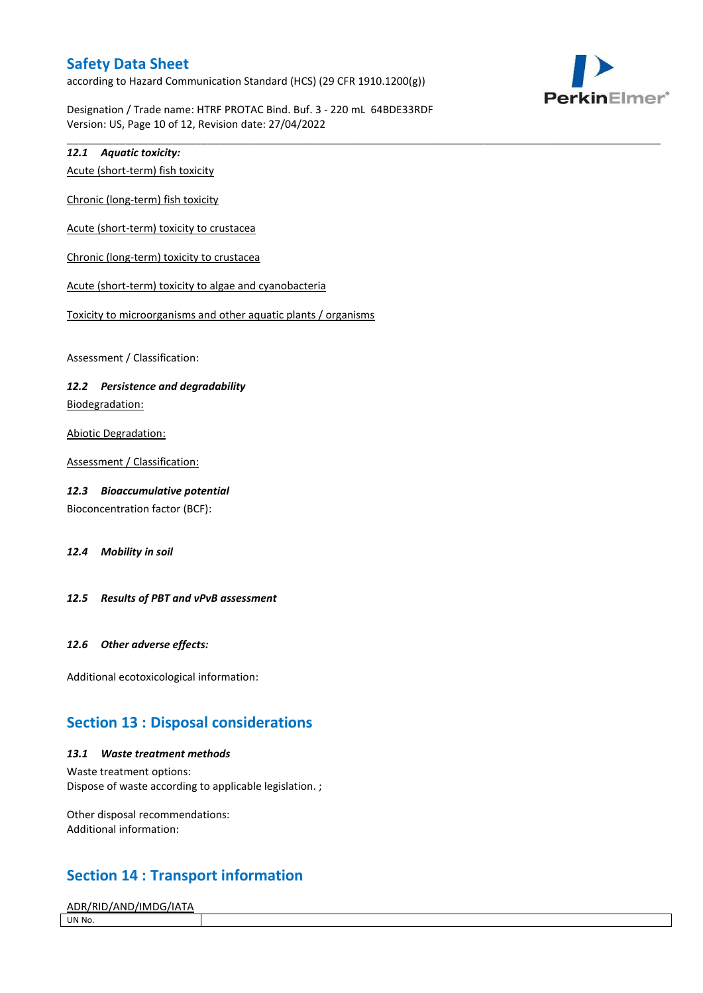according to Hazard Communication Standard (HCS) (29 CFR 1910.1200(g))



Designation / Trade name: HTRF PROTAC Bind. Buf. 3 - 220 mL 64BDE33RDF Version: US, Page 10 of 12, Revision date: 27/04/2022

\_\_\_\_\_\_\_\_\_\_\_\_\_\_\_\_\_\_\_\_\_\_\_\_\_\_\_\_\_\_\_\_\_\_\_\_\_\_\_\_\_\_\_\_\_\_\_\_\_\_\_\_\_\_\_\_\_\_\_\_\_\_\_\_\_\_\_\_\_\_\_\_\_\_\_\_\_\_\_\_\_\_\_\_\_\_\_\_\_\_\_\_\_\_\_\_\_\_\_\_\_

### *12.1 Aquatic toxicity:*

Acute (short-term) fish toxicity

Chronic (long-term) fish toxicity

Acute (short-term) toxicity to crustacea

Chronic (long-term) toxicity to crustacea

Acute (short-term) toxicity to algae and cyanobacteria

Toxicity to microorganisms and other aquatic plants / organisms

Assessment / Classification:

### *12.2 Persistence and degradability*

Biodegradation:

Abiotic Degradation:

Assessment / Classification:

### *12.3 Bioaccumulative potential*

Bioconcentration factor (BCF):

*12.4 Mobility in soil*

### *12.5 Results of PBT and vPvB assessment*

### *12.6 Other adverse effects:*

Additional ecotoxicological information:

## **Section 13 : Disposal considerations**

#### *13.1 Waste treatment methods*

Waste treatment options: Dispose of waste according to applicable legislation. ;

Other disposal recommendations: Additional information:

# **Section 14 : Transport information**

ADR/RID/AND/IMDG/IATA UN No.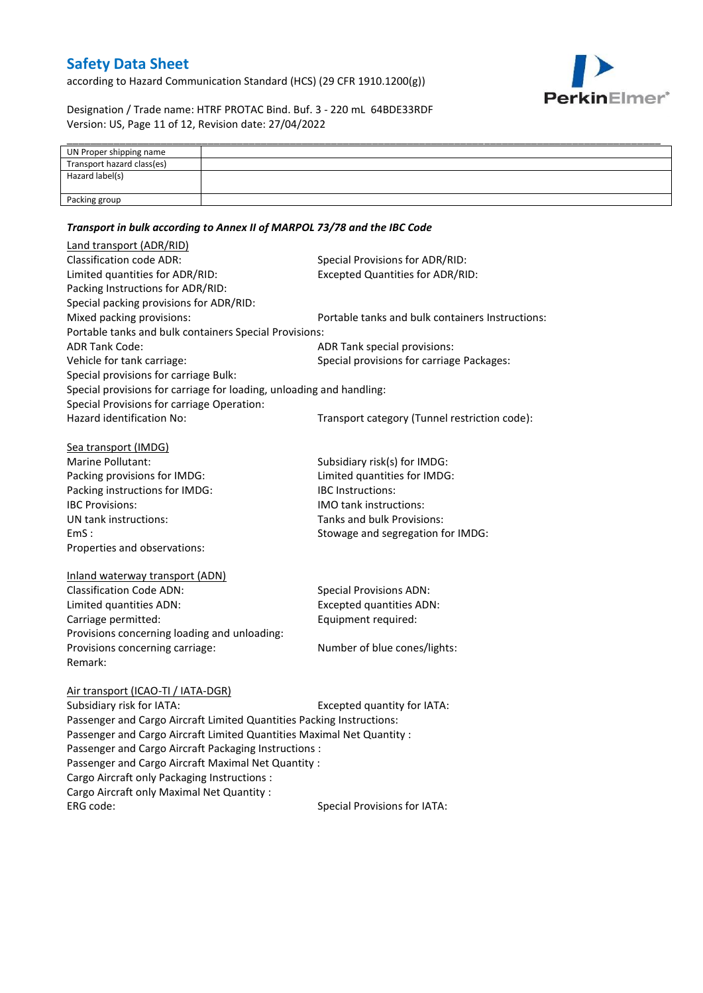according to Hazard Communication Standard (HCS) (29 CFR 1910.1200(g))



Designation / Trade name: HTRF PROTAC Bind. Buf. 3 - 220 mL 64BDE33RDF Version: US, Page 11 of 12, Revision date: 27/04/2022

| UN Proper shipping name    |  |
|----------------------------|--|
| Transport hazard class(es) |  |
| Hazard label(s)            |  |
|                            |  |
| Packing group              |  |

### *Transport in bulk according to Annex II of MARPOL 73/78 and the IBC Code*

| Land transport (ADR/RID)                                                                                                        |                                                  |
|---------------------------------------------------------------------------------------------------------------------------------|--------------------------------------------------|
| <b>Classification code ADR:</b>                                                                                                 | Special Provisions for ADR/RID:                  |
| Limited quantities for ADR/RID:                                                                                                 | <b>Excepted Quantities for ADR/RID:</b>          |
| Packing Instructions for ADR/RID:                                                                                               |                                                  |
| Special packing provisions for ADR/RID:                                                                                         |                                                  |
| Mixed packing provisions:                                                                                                       | Portable tanks and bulk containers Instructions: |
| Portable tanks and bulk containers Special Provisions:                                                                          |                                                  |
| <b>ADR Tank Code:</b>                                                                                                           | ADR Tank special provisions:                     |
| Vehicle for tank carriage:                                                                                                      | Special provisions for carriage Packages:        |
| Special provisions for carriage Bulk:                                                                                           |                                                  |
| Special provisions for carriage for loading, unloading and handling:                                                            |                                                  |
| Special Provisions for carriage Operation:                                                                                      |                                                  |
| Hazard identification No:                                                                                                       | Transport category (Tunnel restriction code):    |
|                                                                                                                                 |                                                  |
| Sea transport (IMDG)                                                                                                            |                                                  |
| Marine Pollutant:                                                                                                               | Subsidiary risk(s) for IMDG:                     |
| Packing provisions for IMDG:                                                                                                    | Limited quantities for IMDG:                     |
| Packing instructions for IMDG:                                                                                                  | <b>IBC</b> Instructions:                         |
| <b>IBC Provisions:</b>                                                                                                          | <b>IMO</b> tank instructions:                    |
| UN tank instructions:                                                                                                           | Tanks and bulk Provisions:                       |
| EmS:                                                                                                                            | Stowage and segregation for IMDG:                |
| Properties and observations:                                                                                                    |                                                  |
|                                                                                                                                 |                                                  |
| Inland waterway transport (ADN)                                                                                                 |                                                  |
| <b>Classification Code ADN:</b>                                                                                                 | <b>Special Provisions ADN:</b>                   |
| Limited quantities ADN:                                                                                                         | <b>Excepted quantities ADN:</b>                  |
| Carriage permitted:                                                                                                             | Equipment required:                              |
| Provisions concerning loading and unloading:                                                                                    |                                                  |
| Provisions concerning carriage:                                                                                                 | Number of blue cones/lights:                     |
| Remark:                                                                                                                         |                                                  |
|                                                                                                                                 |                                                  |
| Air transport (ICAO-TI / IATA-DGR)<br>Subsidiary risk for IATA:                                                                 |                                                  |
|                                                                                                                                 | Excepted quantity for IATA:                      |
| Passenger and Cargo Aircraft Limited Quantities Packing Instructions:                                                           |                                                  |
| Passenger and Cargo Aircraft Limited Quantities Maximal Net Quantity :<br>Passenger and Cargo Aircraft Packaging Instructions : |                                                  |
|                                                                                                                                 |                                                  |
| Passenger and Cargo Aircraft Maximal Net Quantity :                                                                             |                                                  |
| Cargo Aircraft only Packaging Instructions :                                                                                    |                                                  |
| Cargo Aircraft only Maximal Net Quantity :                                                                                      |                                                  |
| ERG code:                                                                                                                       | <b>Special Provisions for IATA:</b>              |